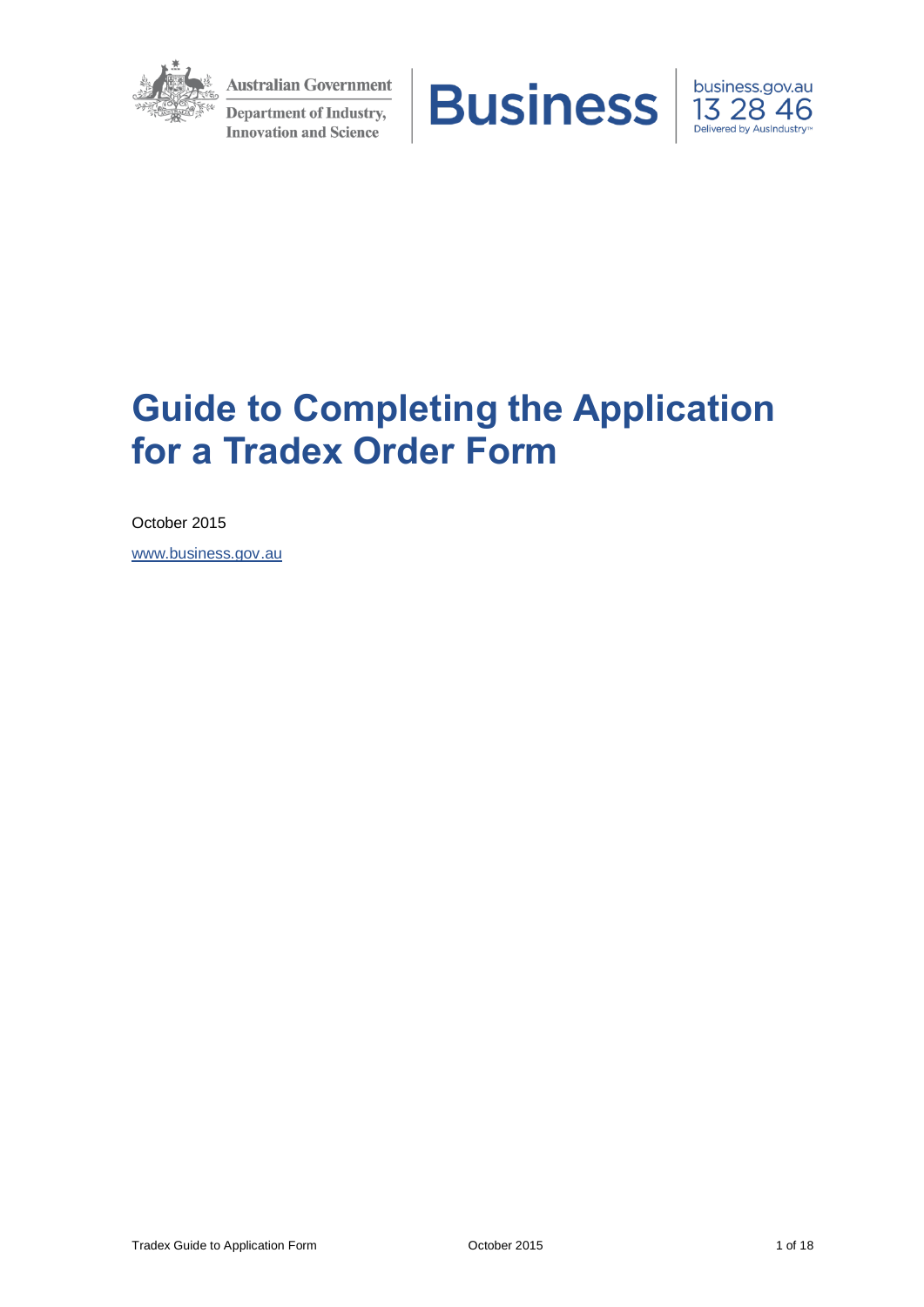

**Australian Government Department of Industry, Innovation and Science** 





# **Guide to Completing the Application for a Tradex Order Form**

October 2015

[www.business.gov.au](http://www.business.gov.au/uniqueurl)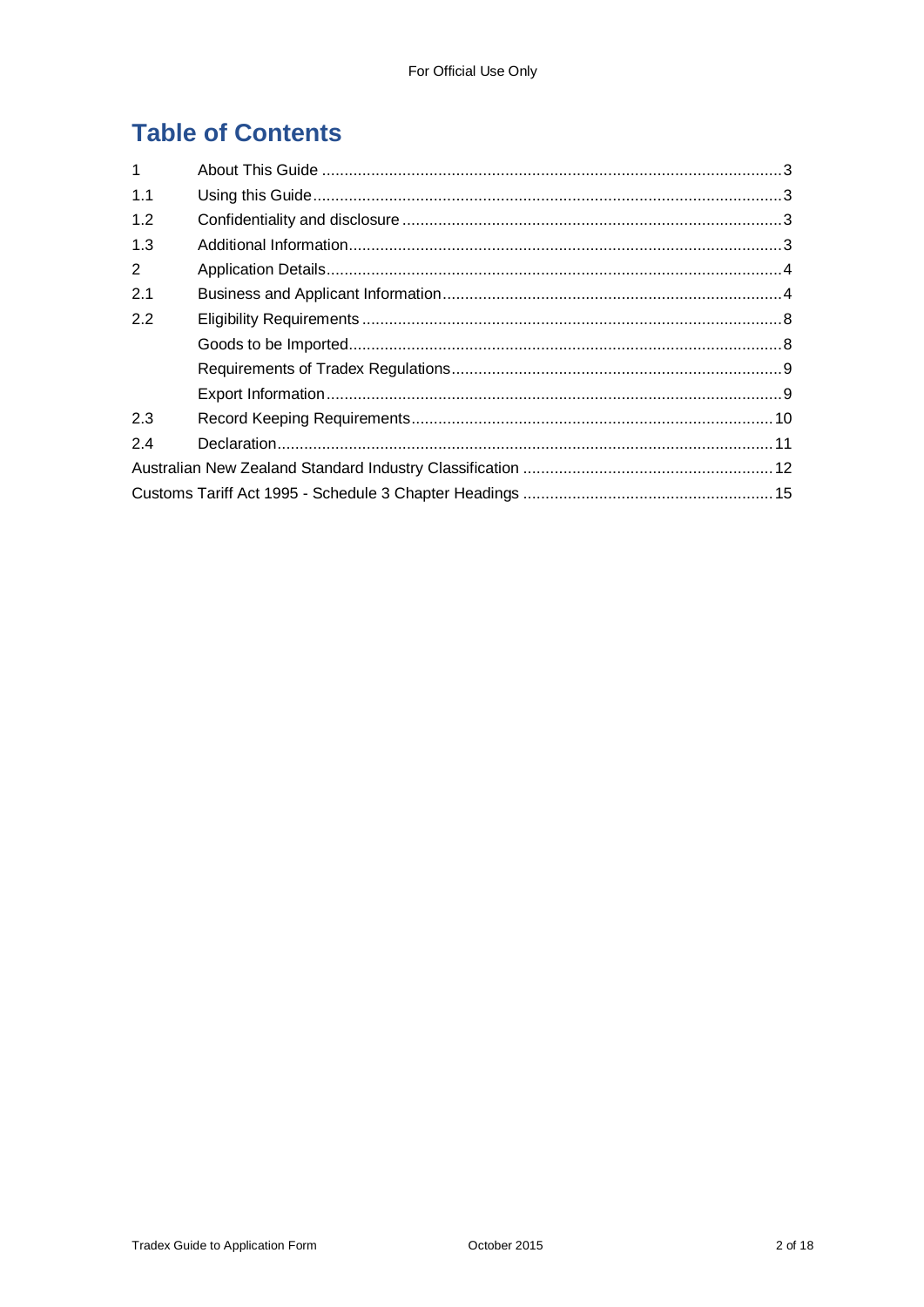## **Table of Contents**

| $\mathbf{1}$ |  |  |  |
|--------------|--|--|--|
| 1.1          |  |  |  |
| 1.2          |  |  |  |
| 1.3          |  |  |  |
| 2            |  |  |  |
| 2.1          |  |  |  |
| 2.2          |  |  |  |
|              |  |  |  |
|              |  |  |  |
|              |  |  |  |
| 2.3          |  |  |  |
| 2.4          |  |  |  |
|              |  |  |  |
|              |  |  |  |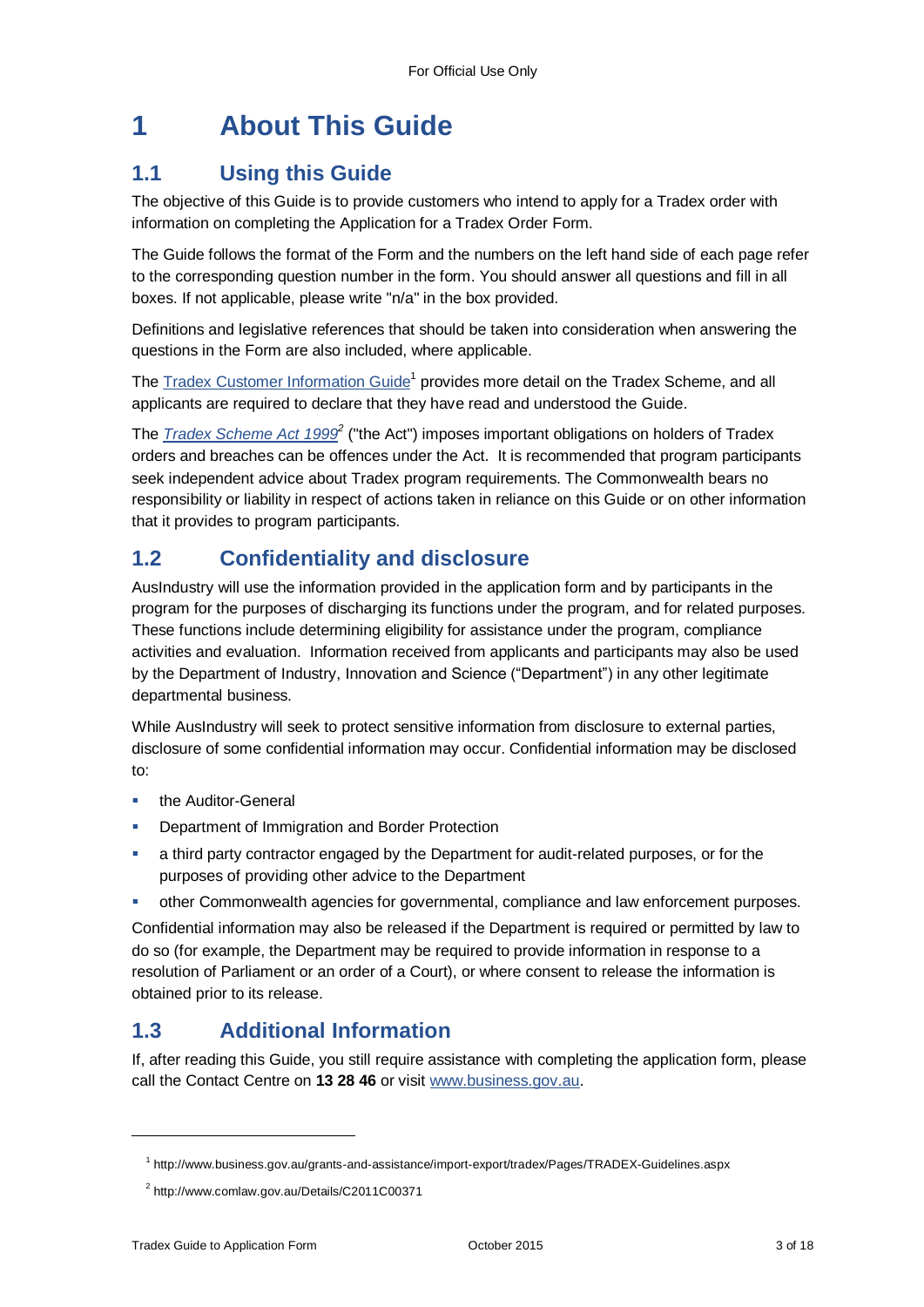## **1 About This Guide**

## **1.1 Using this Guide**

The objective of this Guide is to provide customers who intend to apply for a Tradex order with information on completing the Application for a Tradex Order Form.

The Guide follows the format of the Form and the numbers on the left hand side of each page refer to the corresponding question number in the form. You should answer all questions and fill in all boxes. If not applicable, please write "n/a" in the box provided.

Definitions and legislative references that should be taken into consideration when answering the questions in the Form are also included, where applicable.

The [Tradex Customer Information Guide](https://www.business.gov.au/assistance/tradex-scheme#keydocuments)<sup>1</sup> provides more detail on the Tradex Scheme, and all applicants are required to declare that they have read and understood the Guide.

The *[Tradex Scheme Act 1999](http://www.comlaw.gov.au/Details/C2011C00371)*<sup>2</sup> ("the Act") imposes important obligations on holders of Tradex orders and breaches can be offences under the Act. It is recommended that program participants seek independent advice about Tradex program requirements. The Commonwealth bears no responsibility or liability in respect of actions taken in reliance on this Guide or on other information that it provides to program participants.

### **1.2 Confidentiality and disclosure**

AusIndustry will use the information provided in the application form and by participants in the program for the purposes of discharging its functions under the program, and for related purposes. These functions include determining eligibility for assistance under the program, compliance activities and evaluation. Information received from applicants and participants may also be used by the Department of Industry, Innovation and Science ("Department") in any other legitimate departmental business.

While AusIndustry will seek to protect sensitive information from disclosure to external parties, disclosure of some confidential information may occur. Confidential information may be disclosed to:

- the Auditor-General
- Department of Immigration and Border Protection
- a third party contractor engaged by the Department for audit-related purposes, or for the purposes of providing other advice to the Department
- other Commonwealth agencies for governmental, compliance and law enforcement purposes.

Confidential information may also be released if the Department is required or permitted by law to do so (for example, the Department may be required to provide information in response to a resolution of Parliament or an order of a Court), or where consent to release the information is obtained prior to its release.

### **1.3 Additional Information**

If, after reading this Guide, you still require assistance with completing the application form, please call the Contact Centre on **13 28 46** or visit [www.business.gov.au.](http://www.business.gov.au/grants-and-assistance/import-export/tradex/Pages/default.aspx)

l

<sup>1</sup> http://www.business.gov.au/grants-and-assistance/import-export/tradex/Pages/TRADEX-Guidelines.aspx

<sup>&</sup>lt;sup>2</sup> http://www.comlaw.gov.au/Details/C2011C00371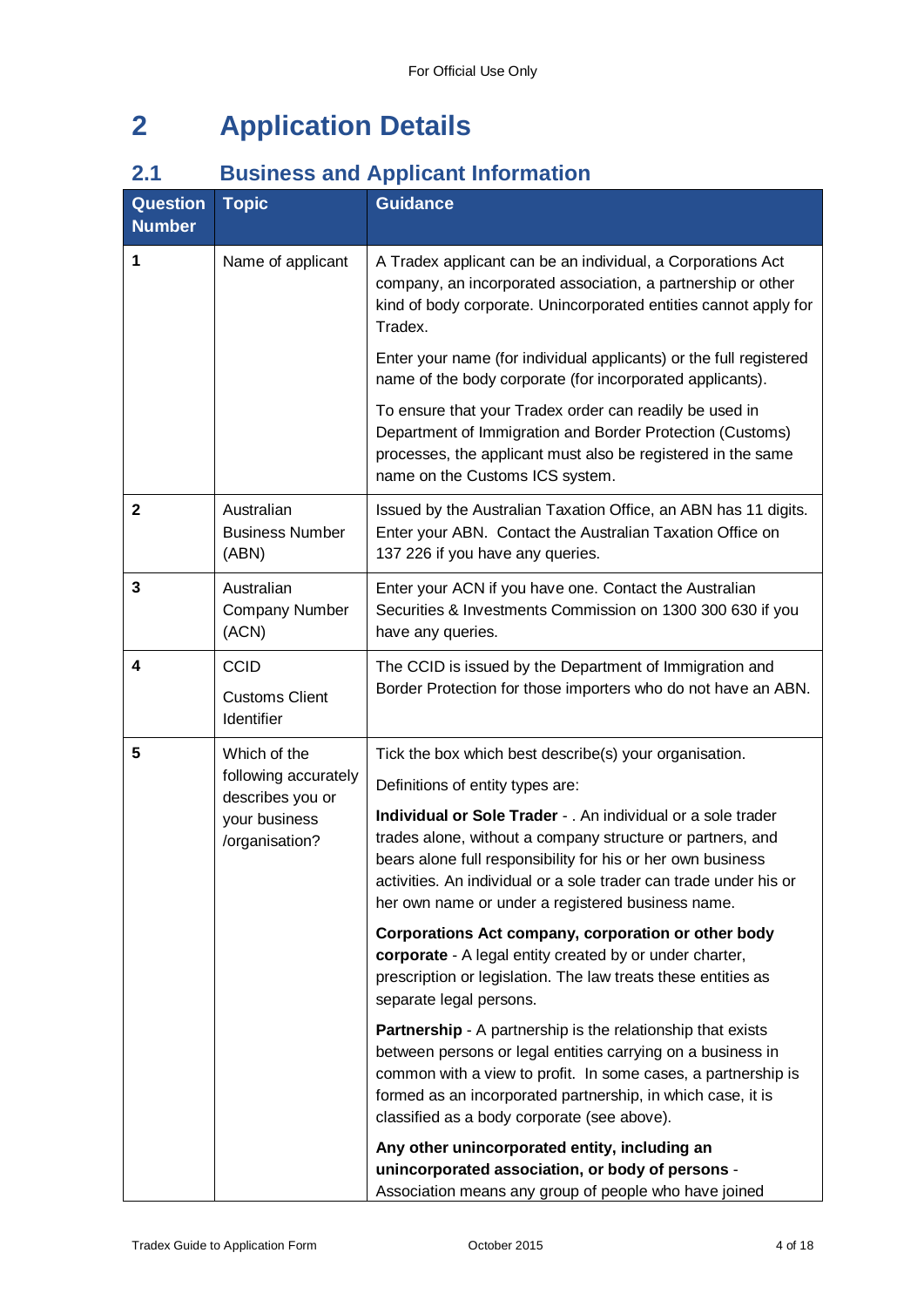## **2 Application Details**

## **2.1 Business and Applicant Information**

| <b>Question</b><br><b>Number</b> | <b>Topic</b>                                                                | <b>Guidance</b>                                                                                                                                                                                                                                                                                                     |
|----------------------------------|-----------------------------------------------------------------------------|---------------------------------------------------------------------------------------------------------------------------------------------------------------------------------------------------------------------------------------------------------------------------------------------------------------------|
| 1                                | Name of applicant                                                           | A Tradex applicant can be an individual, a Corporations Act<br>company, an incorporated association, a partnership or other<br>kind of body corporate. Unincorporated entities cannot apply for<br>Tradex.                                                                                                          |
|                                  |                                                                             | Enter your name (for individual applicants) or the full registered<br>name of the body corporate (for incorporated applicants).                                                                                                                                                                                     |
|                                  |                                                                             | To ensure that your Tradex order can readily be used in<br>Department of Immigration and Border Protection (Customs)<br>processes, the applicant must also be registered in the same<br>name on the Customs ICS system.                                                                                             |
| $\mathbf 2$                      | Australian<br><b>Business Number</b><br>(ABN)                               | Issued by the Australian Taxation Office, an ABN has 11 digits.<br>Enter your ABN. Contact the Australian Taxation Office on<br>137 226 if you have any queries.                                                                                                                                                    |
| 3                                | Australian<br><b>Company Number</b><br>(ACN)                                | Enter your ACN if you have one. Contact the Australian<br>Securities & Investments Commission on 1300 300 630 if you<br>have any queries.                                                                                                                                                                           |
| 4                                | <b>CCID</b><br><b>Customs Client</b><br>Identifier                          | The CCID is issued by the Department of Immigration and<br>Border Protection for those importers who do not have an ABN.                                                                                                                                                                                            |
| 5                                | Which of the                                                                | Tick the box which best describe(s) your organisation.                                                                                                                                                                                                                                                              |
|                                  | following accurately<br>describes you or<br>your business<br>/organisation? | Definitions of entity types are:                                                                                                                                                                                                                                                                                    |
|                                  |                                                                             | Individual or Sole Trader - . An individual or a sole trader<br>trades alone, without a company structure or partners, and<br>bears alone full responsibility for his or her own business<br>activities. An individual or a sole trader can trade under his or<br>her own name or under a registered business name. |
|                                  |                                                                             | Corporations Act company, corporation or other body<br>corporate - A legal entity created by or under charter,<br>prescription or legislation. The law treats these entities as<br>separate legal persons.                                                                                                          |
|                                  |                                                                             | <b>Partnership</b> - A partnership is the relationship that exists<br>between persons or legal entities carrying on a business in<br>common with a view to profit. In some cases, a partnership is<br>formed as an incorporated partnership, in which case, it is<br>classified as a body corporate (see above).    |
|                                  |                                                                             | Any other unincorporated entity, including an<br>unincorporated association, or body of persons -<br>Association means any group of people who have joined                                                                                                                                                          |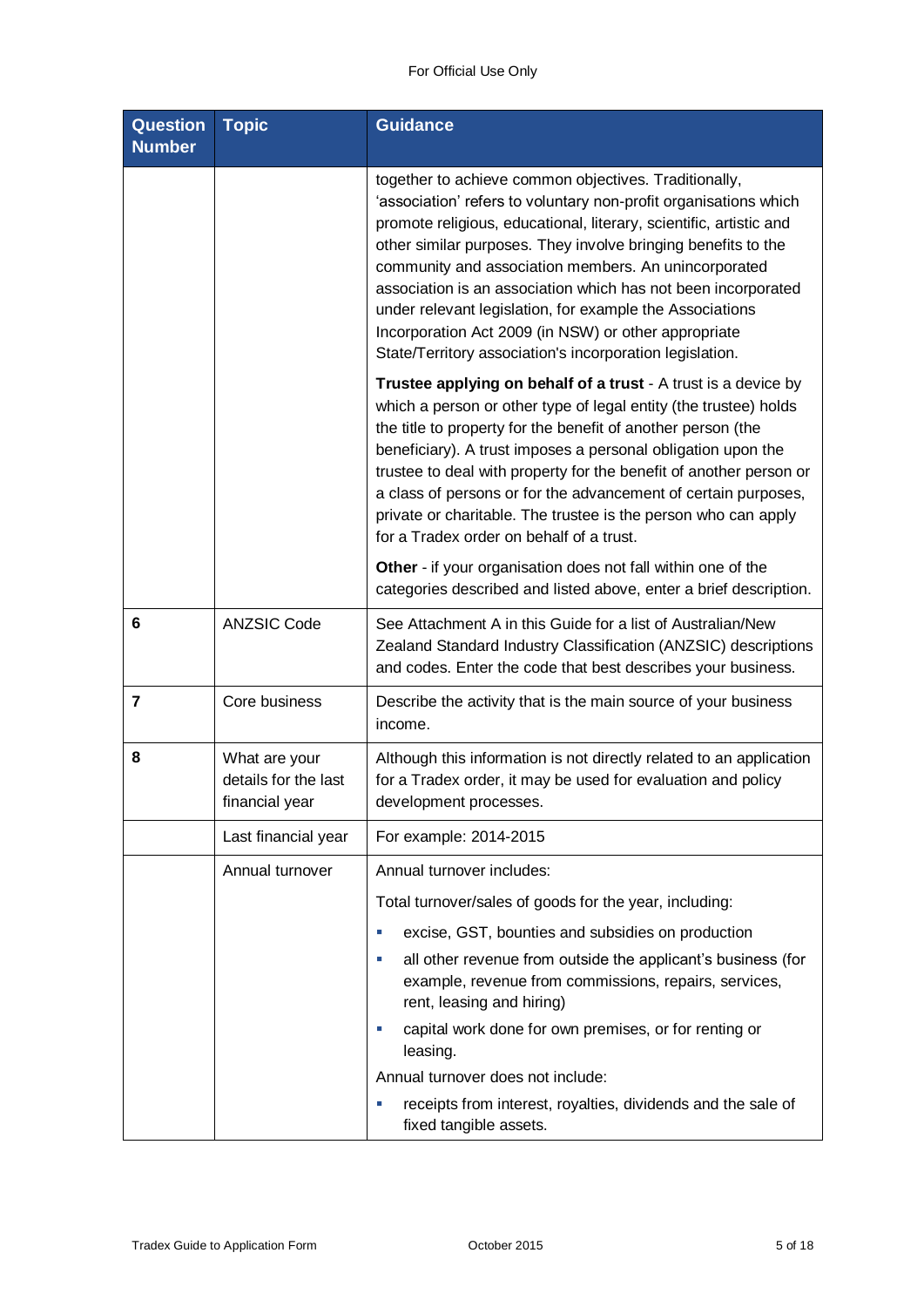| <b>Question</b><br><b>Number</b> | <b>Topic</b>                                            | <b>Guidance</b>                                                                                                                                                                                                                                                                                                                                                                                                                                                                                                                                                           |
|----------------------------------|---------------------------------------------------------|---------------------------------------------------------------------------------------------------------------------------------------------------------------------------------------------------------------------------------------------------------------------------------------------------------------------------------------------------------------------------------------------------------------------------------------------------------------------------------------------------------------------------------------------------------------------------|
|                                  |                                                         | together to achieve common objectives. Traditionally,<br>'association' refers to voluntary non-profit organisations which<br>promote religious, educational, literary, scientific, artistic and<br>other similar purposes. They involve bringing benefits to the<br>community and association members. An unincorporated<br>association is an association which has not been incorporated<br>under relevant legislation, for example the Associations<br>Incorporation Act 2009 (in NSW) or other appropriate<br>State/Territory association's incorporation legislation. |
|                                  |                                                         | Trustee applying on behalf of a trust - A trust is a device by<br>which a person or other type of legal entity (the trustee) holds<br>the title to property for the benefit of another person (the<br>beneficiary). A trust imposes a personal obligation upon the<br>trustee to deal with property for the benefit of another person or<br>a class of persons or for the advancement of certain purposes,<br>private or charitable. The trustee is the person who can apply<br>for a Tradex order on behalf of a trust.                                                  |
|                                  |                                                         | Other - if your organisation does not fall within one of the<br>categories described and listed above, enter a brief description.                                                                                                                                                                                                                                                                                                                                                                                                                                         |
| 6                                | <b>ANZSIC Code</b>                                      | See Attachment A in this Guide for a list of Australian/New<br>Zealand Standard Industry Classification (ANZSIC) descriptions<br>and codes. Enter the code that best describes your business.                                                                                                                                                                                                                                                                                                                                                                             |
| $\overline{7}$                   | Core business                                           | Describe the activity that is the main source of your business<br>income.                                                                                                                                                                                                                                                                                                                                                                                                                                                                                                 |
| 8                                | What are your<br>details for the last<br>financial year | Although this information is not directly related to an application<br>for a Tradex order, it may be used for evaluation and policy<br>development processes.                                                                                                                                                                                                                                                                                                                                                                                                             |
|                                  | Last financial year                                     | For example: 2014-2015                                                                                                                                                                                                                                                                                                                                                                                                                                                                                                                                                    |
|                                  | Annual turnover                                         | Annual turnover includes:                                                                                                                                                                                                                                                                                                                                                                                                                                                                                                                                                 |
|                                  |                                                         | Total turnover/sales of goods for the year, including:                                                                                                                                                                                                                                                                                                                                                                                                                                                                                                                    |
|                                  |                                                         | excise, GST, bounties and subsidies on production<br>×.<br>all other revenue from outside the applicant's business (for<br>×<br>example, revenue from commissions, repairs, services,<br>rent, leasing and hiring)                                                                                                                                                                                                                                                                                                                                                        |
|                                  |                                                         | capital work done for own premises, or for renting or<br>×<br>leasing.<br>Annual turnover does not include:                                                                                                                                                                                                                                                                                                                                                                                                                                                               |
|                                  |                                                         | receipts from interest, royalties, dividends and the sale of<br>×<br>fixed tangible assets.                                                                                                                                                                                                                                                                                                                                                                                                                                                                               |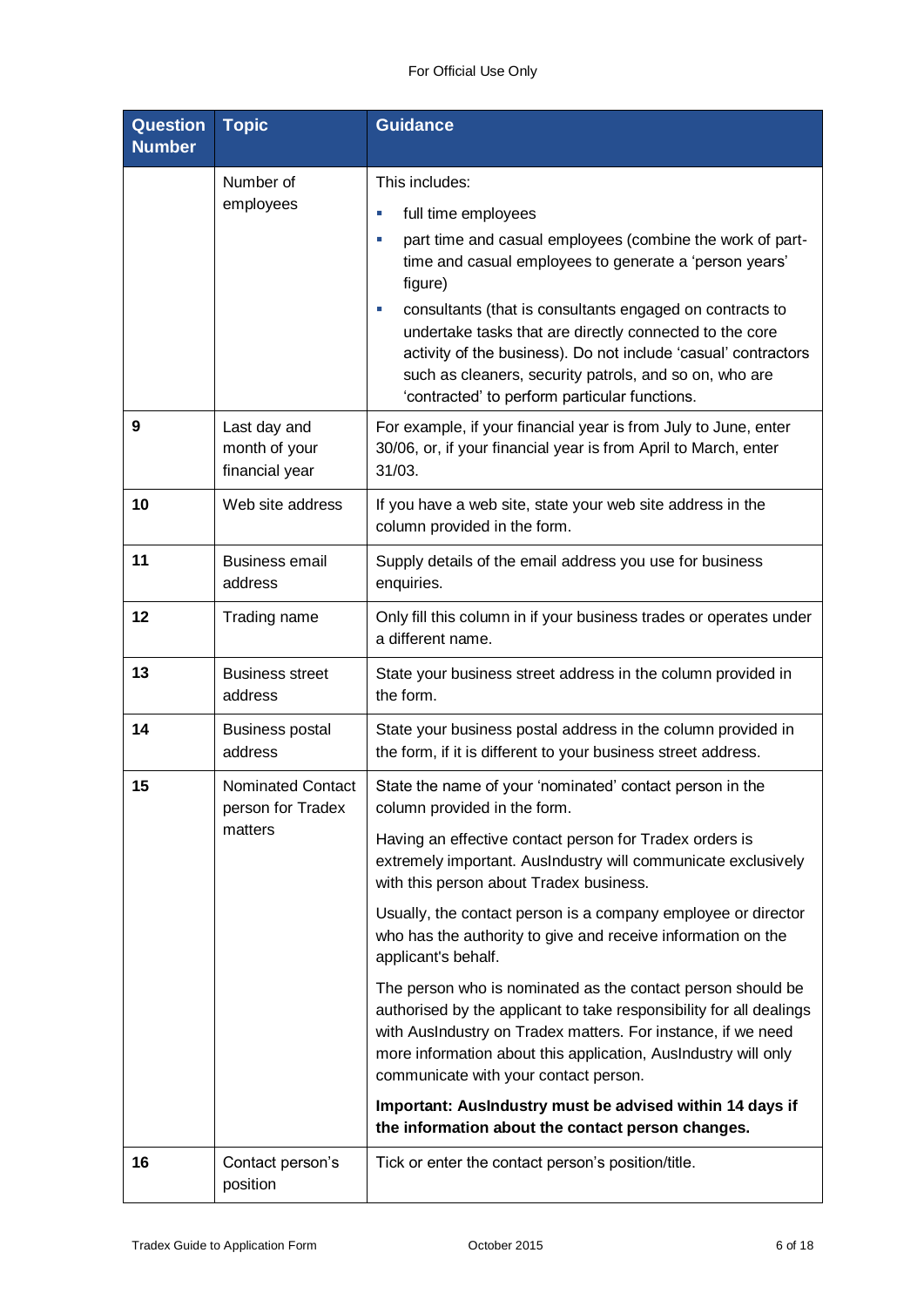| <b>Question</b><br><b>Number</b> | <b>Topic</b>                                    | <b>Guidance</b>                                                                                                                                                                                                                                                                                               |
|----------------------------------|-------------------------------------------------|---------------------------------------------------------------------------------------------------------------------------------------------------------------------------------------------------------------------------------------------------------------------------------------------------------------|
|                                  | Number of                                       | This includes:                                                                                                                                                                                                                                                                                                |
|                                  | employees                                       | full time employees<br>×,                                                                                                                                                                                                                                                                                     |
|                                  |                                                 | part time and casual employees (combine the work of part-<br>×,<br>time and casual employees to generate a 'person years'<br>figure)                                                                                                                                                                          |
|                                  |                                                 | consultants (that is consultants engaged on contracts to<br>×.<br>undertake tasks that are directly connected to the core<br>activity of the business). Do not include 'casual' contractors<br>such as cleaners, security patrols, and so on, who are<br>'contracted' to perform particular functions.        |
| 9                                | Last day and<br>month of your<br>financial year | For example, if your financial year is from July to June, enter<br>30/06, or, if your financial year is from April to March, enter<br>31/03.                                                                                                                                                                  |
| 10                               | Web site address                                | If you have a web site, state your web site address in the<br>column provided in the form.                                                                                                                                                                                                                    |
| 11                               | <b>Business email</b><br>address                | Supply details of the email address you use for business<br>enquiries.                                                                                                                                                                                                                                        |
| 12                               | Trading name                                    | Only fill this column in if your business trades or operates under<br>a different name.                                                                                                                                                                                                                       |
| 13                               | <b>Business street</b><br>address               | State your business street address in the column provided in<br>the form.                                                                                                                                                                                                                                     |
| 14                               | <b>Business postal</b><br>address               | State your business postal address in the column provided in<br>the form, if it is different to your business street address.                                                                                                                                                                                 |
| 15                               | <b>Nominated Contact</b><br>person for Tradex   | State the name of your 'nominated' contact person in the<br>column provided in the form.                                                                                                                                                                                                                      |
|                                  | matters                                         | Having an effective contact person for Tradex orders is<br>extremely important. AusIndustry will communicate exclusively<br>with this person about Tradex business.                                                                                                                                           |
|                                  |                                                 | Usually, the contact person is a company employee or director<br>who has the authority to give and receive information on the<br>applicant's behalf.                                                                                                                                                          |
|                                  |                                                 | The person who is nominated as the contact person should be<br>authorised by the applicant to take responsibility for all dealings<br>with AusIndustry on Tradex matters. For instance, if we need<br>more information about this application, AusIndustry will only<br>communicate with your contact person. |
|                                  |                                                 | Important: AusIndustry must be advised within 14 days if<br>the information about the contact person changes.                                                                                                                                                                                                 |
| 16                               | Contact person's<br>position                    | Tick or enter the contact person's position/title.                                                                                                                                                                                                                                                            |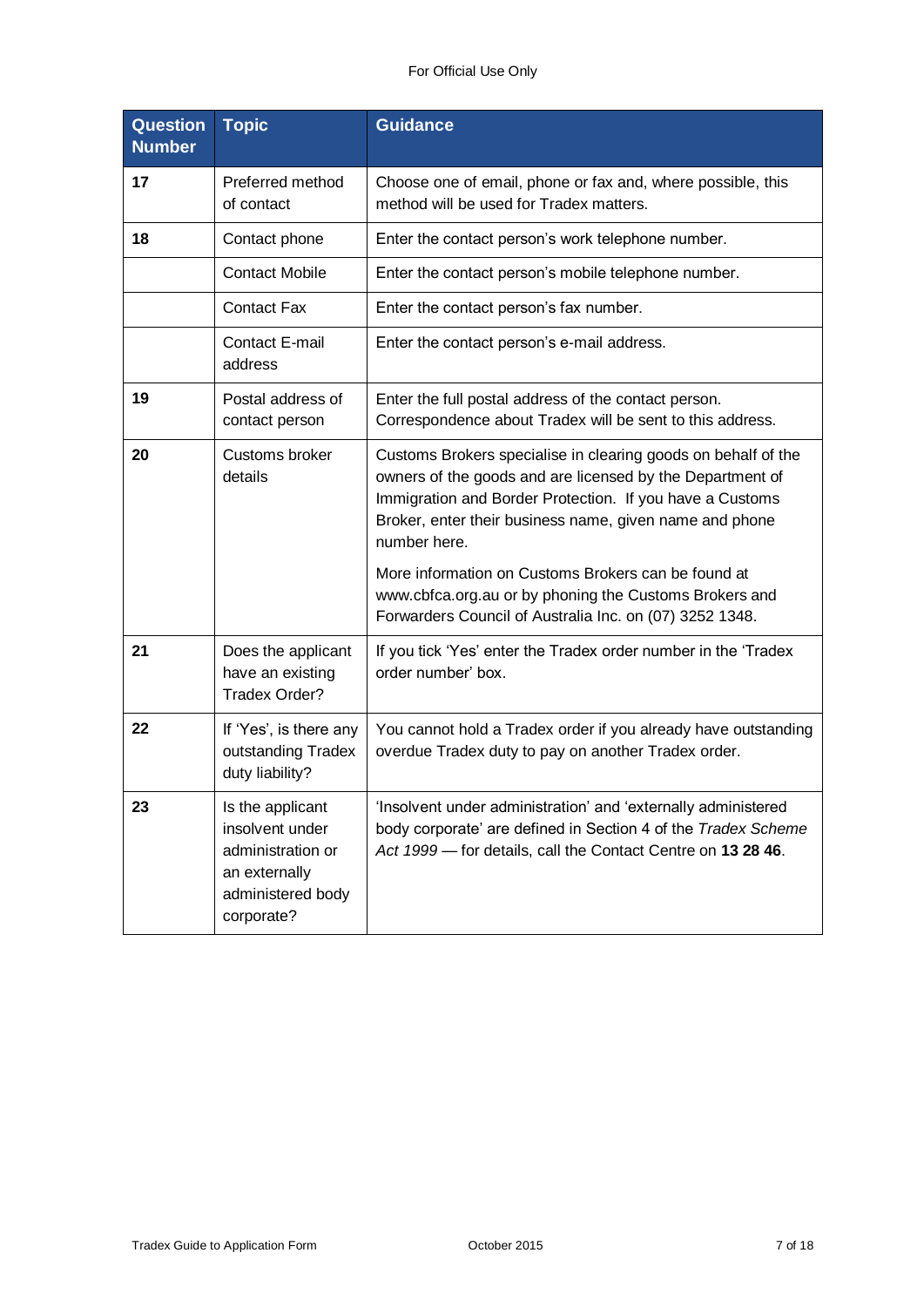| <b>Question</b><br><b>Number</b> | <b>Topic</b>                                                                                                 | <b>Guidance</b>                                                                                                                                                                                                                                                   |
|----------------------------------|--------------------------------------------------------------------------------------------------------------|-------------------------------------------------------------------------------------------------------------------------------------------------------------------------------------------------------------------------------------------------------------------|
| 17                               | Preferred method<br>of contact                                                                               | Choose one of email, phone or fax and, where possible, this<br>method will be used for Tradex matters.                                                                                                                                                            |
| 18                               | Contact phone                                                                                                | Enter the contact person's work telephone number.                                                                                                                                                                                                                 |
|                                  | <b>Contact Mobile</b>                                                                                        | Enter the contact person's mobile telephone number.                                                                                                                                                                                                               |
|                                  | <b>Contact Fax</b>                                                                                           | Enter the contact person's fax number.                                                                                                                                                                                                                            |
|                                  | Contact E-mail<br>address                                                                                    | Enter the contact person's e-mail address.                                                                                                                                                                                                                        |
| 19                               | Postal address of<br>contact person                                                                          | Enter the full postal address of the contact person.<br>Correspondence about Tradex will be sent to this address.                                                                                                                                                 |
| 20                               | Customs broker<br>details                                                                                    | Customs Brokers specialise in clearing goods on behalf of the<br>owners of the goods and are licensed by the Department of<br>Immigration and Border Protection. If you have a Customs<br>Broker, enter their business name, given name and phone<br>number here. |
|                                  |                                                                                                              | More information on Customs Brokers can be found at<br>www.cbfca.org.au or by phoning the Customs Brokers and<br>Forwarders Council of Australia Inc. on (07) 3252 1348.                                                                                          |
| 21                               | Does the applicant<br>have an existing<br>Tradex Order?                                                      | If you tick 'Yes' enter the Tradex order number in the 'Tradex<br>order number' box.                                                                                                                                                                              |
| 22                               | If 'Yes', is there any<br>outstanding Tradex<br>duty liability?                                              | You cannot hold a Tradex order if you already have outstanding<br>overdue Tradex duty to pay on another Tradex order.                                                                                                                                             |
| 23                               | Is the applicant<br>insolvent under<br>administration or<br>an externally<br>administered body<br>corporate? | 'Insolvent under administration' and 'externally administered<br>body corporate' are defined in Section 4 of the Tradex Scheme<br>Act 1999 - for details, call the Contact Centre on 13 28 46.                                                                    |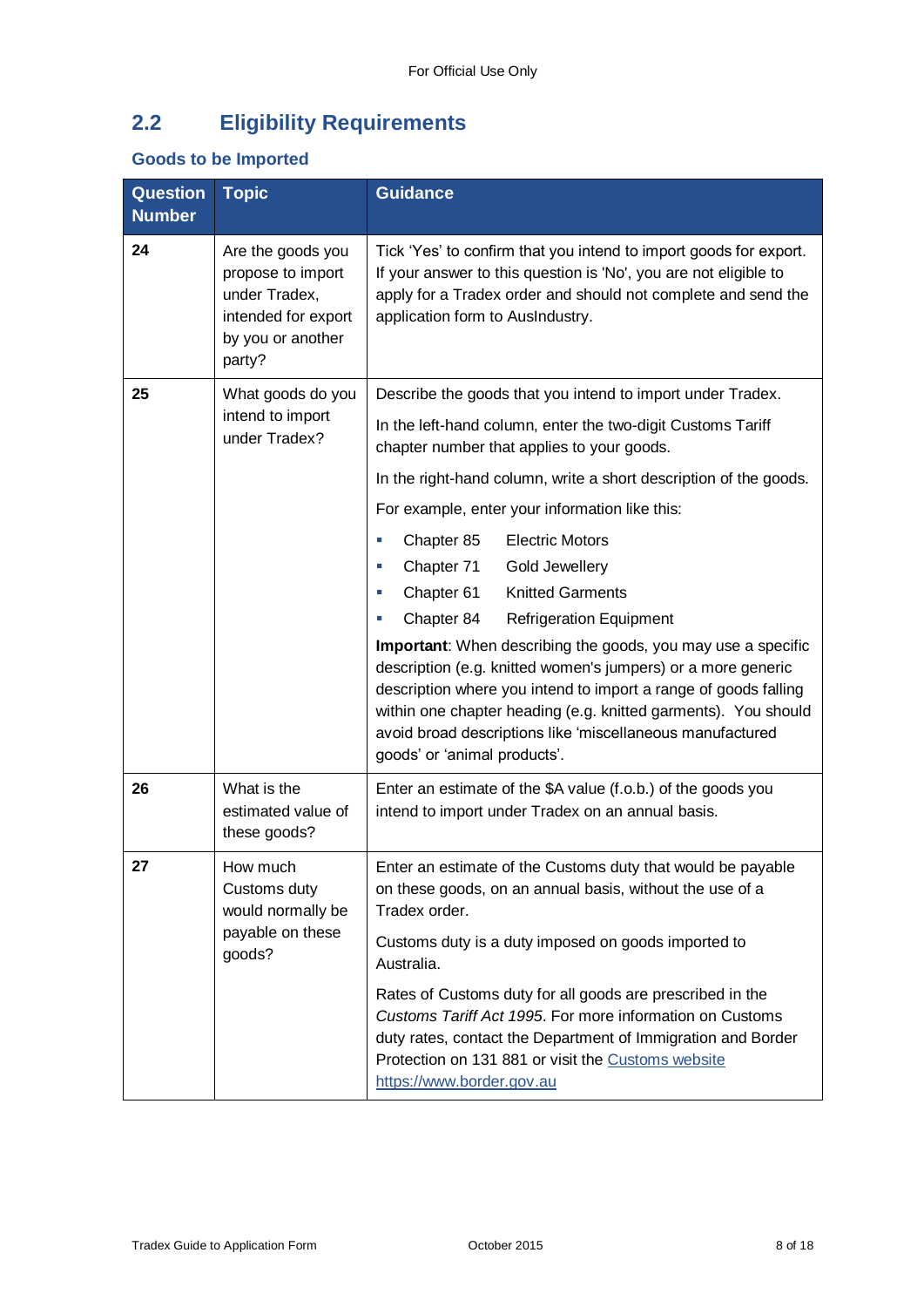## **2.2 Eligibility Requirements**

### **Goods to be Imported**

| <b>Question</b><br><b>Number</b> | <b>Topic</b>                                                                                                  | <b>Guidance</b>                                                                                                                                                                                                                                                                                                                                                                                                                                                                                                                                                                                                                                                                                                                                                                                                                                          |
|----------------------------------|---------------------------------------------------------------------------------------------------------------|----------------------------------------------------------------------------------------------------------------------------------------------------------------------------------------------------------------------------------------------------------------------------------------------------------------------------------------------------------------------------------------------------------------------------------------------------------------------------------------------------------------------------------------------------------------------------------------------------------------------------------------------------------------------------------------------------------------------------------------------------------------------------------------------------------------------------------------------------------|
| 24                               | Are the goods you<br>propose to import<br>under Tradex,<br>intended for export<br>by you or another<br>party? | Tick 'Yes' to confirm that you intend to import goods for export.<br>If your answer to this question is 'No', you are not eligible to<br>apply for a Tradex order and should not complete and send the<br>application form to AusIndustry.                                                                                                                                                                                                                                                                                                                                                                                                                                                                                                                                                                                                               |
| 25                               | What goods do you<br>intend to import<br>under Tradex?                                                        | Describe the goods that you intend to import under Tradex.<br>In the left-hand column, enter the two-digit Customs Tariff<br>chapter number that applies to your goods.<br>In the right-hand column, write a short description of the goods.<br>For example, enter your information like this:<br><b>Electric Motors</b><br>Chapter 85<br>×<br>Chapter 71<br>Gold Jewellery<br>×.<br><b>Knitted Garments</b><br>Chapter 61<br>×<br>Chapter 84<br><b>Refrigeration Equipment</b><br><b>Important:</b> When describing the goods, you may use a specific<br>description (e.g. knitted women's jumpers) or a more generic<br>description where you intend to import a range of goods falling<br>within one chapter heading (e.g. knitted garments). You should<br>avoid broad descriptions like 'miscellaneous manufactured<br>goods' or 'animal products'. |
| 26                               | What is the<br>estimated value of<br>these goods?                                                             | Enter an estimate of the \$A value (f.o.b.) of the goods you<br>intend to import under Tradex on an annual basis.                                                                                                                                                                                                                                                                                                                                                                                                                                                                                                                                                                                                                                                                                                                                        |
| 27                               | How much<br>Customs duty<br>would normally be<br>payable on these<br>goods?                                   | Enter an estimate of the Customs duty that would be payable<br>on these goods, on an annual basis, without the use of a<br>Tradex order.<br>Customs duty is a duty imposed on goods imported to<br>Australia.<br>Rates of Customs duty for all goods are prescribed in the<br>Customs Tariff Act 1995. For more information on Customs<br>duty rates, contact the Department of Immigration and Border<br>Protection on 131 881 or visit the Customs website<br>https://www.border.gov.au                                                                                                                                                                                                                                                                                                                                                                |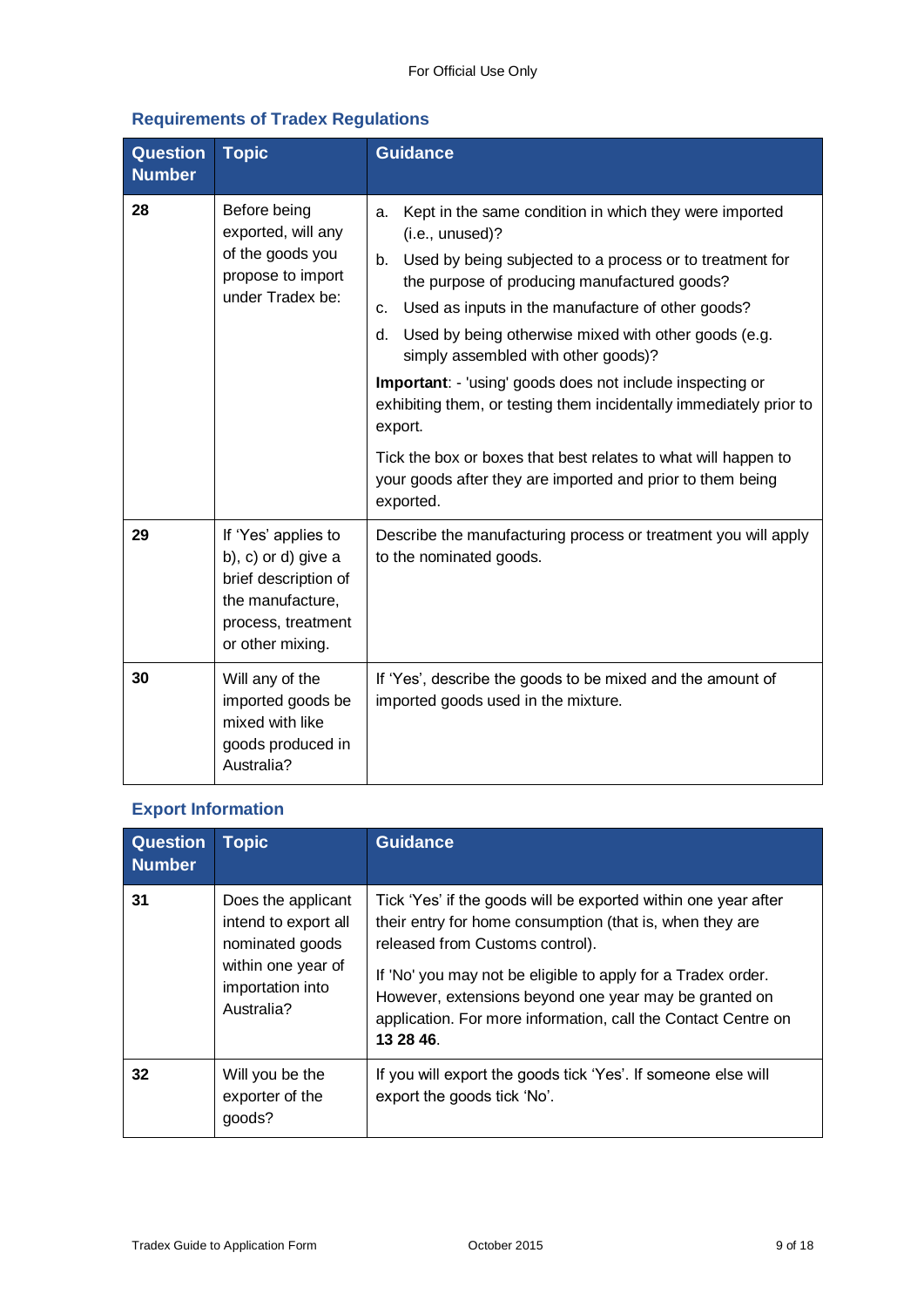### **Requirements of Tradex Regulations**

| <b>Question</b><br><b>Number</b> | <b>Topic</b>                                                                                                                     | <b>Guidance</b>                                                                                                                                                                                                                                                                                                                                                                                                                                                                                                                                                                                                                                                     |
|----------------------------------|----------------------------------------------------------------------------------------------------------------------------------|---------------------------------------------------------------------------------------------------------------------------------------------------------------------------------------------------------------------------------------------------------------------------------------------------------------------------------------------------------------------------------------------------------------------------------------------------------------------------------------------------------------------------------------------------------------------------------------------------------------------------------------------------------------------|
| 28                               | Before being<br>exported, will any<br>of the goods you<br>propose to import<br>under Tradex be:                                  | Kept in the same condition in which they were imported<br>a.<br>(i.e., unused)?<br>Used by being subjected to a process or to treatment for<br>b.<br>the purpose of producing manufactured goods?<br>Used as inputs in the manufacture of other goods?<br>C.<br>Used by being otherwise mixed with other goods (e.g.<br>d.<br>simply assembled with other goods)?<br><b>Important:</b> - 'using' goods does not include inspecting or<br>exhibiting them, or testing them incidentally immediately prior to<br>export.<br>Tick the box or boxes that best relates to what will happen to<br>your goods after they are imported and prior to them being<br>exported. |
| 29                               | If 'Yes' applies to<br>b), c) or d) give a<br>brief description of<br>the manufacture,<br>process, treatment<br>or other mixing. | Describe the manufacturing process or treatment you will apply<br>to the nominated goods.                                                                                                                                                                                                                                                                                                                                                                                                                                                                                                                                                                           |
| 30                               | Will any of the<br>imported goods be<br>mixed with like<br>goods produced in<br>Australia?                                       | If 'Yes', describe the goods to be mixed and the amount of<br>imported goods used in the mixture.                                                                                                                                                                                                                                                                                                                                                                                                                                                                                                                                                                   |

### **Export Information**

| <b>Question</b><br><b>Number</b> | <b>Topic</b>                                                                                                          | <b>Guidance</b>                                                                                                                                                                                                                                                                                                                                                      |
|----------------------------------|-----------------------------------------------------------------------------------------------------------------------|----------------------------------------------------------------------------------------------------------------------------------------------------------------------------------------------------------------------------------------------------------------------------------------------------------------------------------------------------------------------|
| 31                               | Does the applicant<br>intend to export all<br>nominated goods<br>within one year of<br>importation into<br>Australia? | Tick 'Yes' if the goods will be exported within one year after<br>their entry for home consumption (that is, when they are<br>released from Customs control).<br>If 'No' you may not be eligible to apply for a Tradex order.<br>However, extensions beyond one year may be granted on<br>application. For more information, call the Contact Centre on<br>13 28 46. |
| 32                               | Will you be the<br>exporter of the<br>goods?                                                                          | If you will export the goods tick 'Yes'. If someone else will<br>export the goods tick 'No'.                                                                                                                                                                                                                                                                         |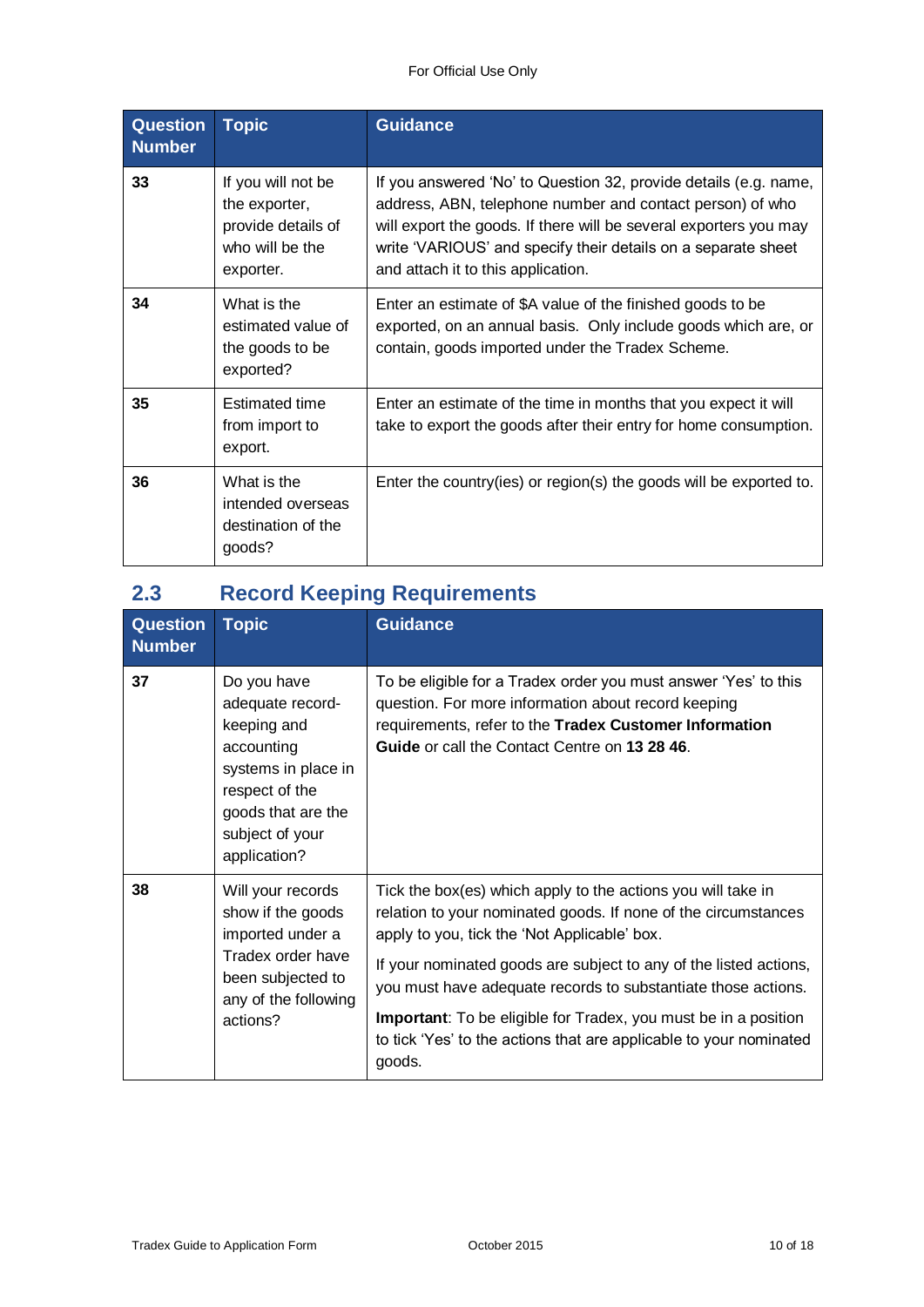| <b>Question</b><br><b>Number</b> | <b>Topic</b>                                                                              | <b>Guidance</b>                                                                                                                                                                                                                                                                                           |
|----------------------------------|-------------------------------------------------------------------------------------------|-----------------------------------------------------------------------------------------------------------------------------------------------------------------------------------------------------------------------------------------------------------------------------------------------------------|
| 33                               | If you will not be<br>the exporter,<br>provide details of<br>who will be the<br>exporter. | If you answered 'No' to Question 32, provide details (e.g. name,<br>address, ABN, telephone number and contact person) of who<br>will export the goods. If there will be several exporters you may<br>write 'VARIOUS' and specify their details on a separate sheet<br>and attach it to this application. |
| 34                               | What is the<br>estimated value of<br>the goods to be<br>exported?                         | Enter an estimate of \$A value of the finished goods to be<br>exported, on an annual basis. Only include goods which are, or<br>contain, goods imported under the Tradex Scheme.                                                                                                                          |
| 35                               | <b>Estimated time</b><br>from import to<br>export.                                        | Enter an estimate of the time in months that you expect it will<br>take to export the goods after their entry for home consumption.                                                                                                                                                                       |
| 36                               | What is the<br>intended overseas<br>destination of the<br>goods?                          | Enter the country(ies) or region(s) the goods will be exported to.                                                                                                                                                                                                                                        |

## **2.3 Record Keeping Requirements**

| <b>Question</b><br><b>Number</b> | <b>Topic</b>                                                                                                                                                   | <b>Guidance</b>                                                                                                                                                                                                                                                                                                                                                                                                                                                                |
|----------------------------------|----------------------------------------------------------------------------------------------------------------------------------------------------------------|--------------------------------------------------------------------------------------------------------------------------------------------------------------------------------------------------------------------------------------------------------------------------------------------------------------------------------------------------------------------------------------------------------------------------------------------------------------------------------|
| 37                               | Do you have<br>adequate record-<br>keeping and<br>accounting<br>systems in place in<br>respect of the<br>goods that are the<br>subject of your<br>application? | To be eligible for a Tradex order you must answer 'Yes' to this<br>question. For more information about record keeping<br>requirements, refer to the Tradex Customer Information<br><b>Guide</b> or call the Contact Centre on 13 28 46.                                                                                                                                                                                                                                       |
| 38                               | Will your records<br>show if the goods<br>imported under a<br>Tradex order have<br>been subjected to<br>any of the following<br>actions?                       | Tick the box(es) which apply to the actions you will take in<br>relation to your nominated goods. If none of the circumstances<br>apply to you, tick the 'Not Applicable' box.<br>If your nominated goods are subject to any of the listed actions,<br>you must have adequate records to substantiate those actions.<br><b>Important:</b> To be eligible for Tradex, you must be in a position<br>to tick 'Yes' to the actions that are applicable to your nominated<br>goods. |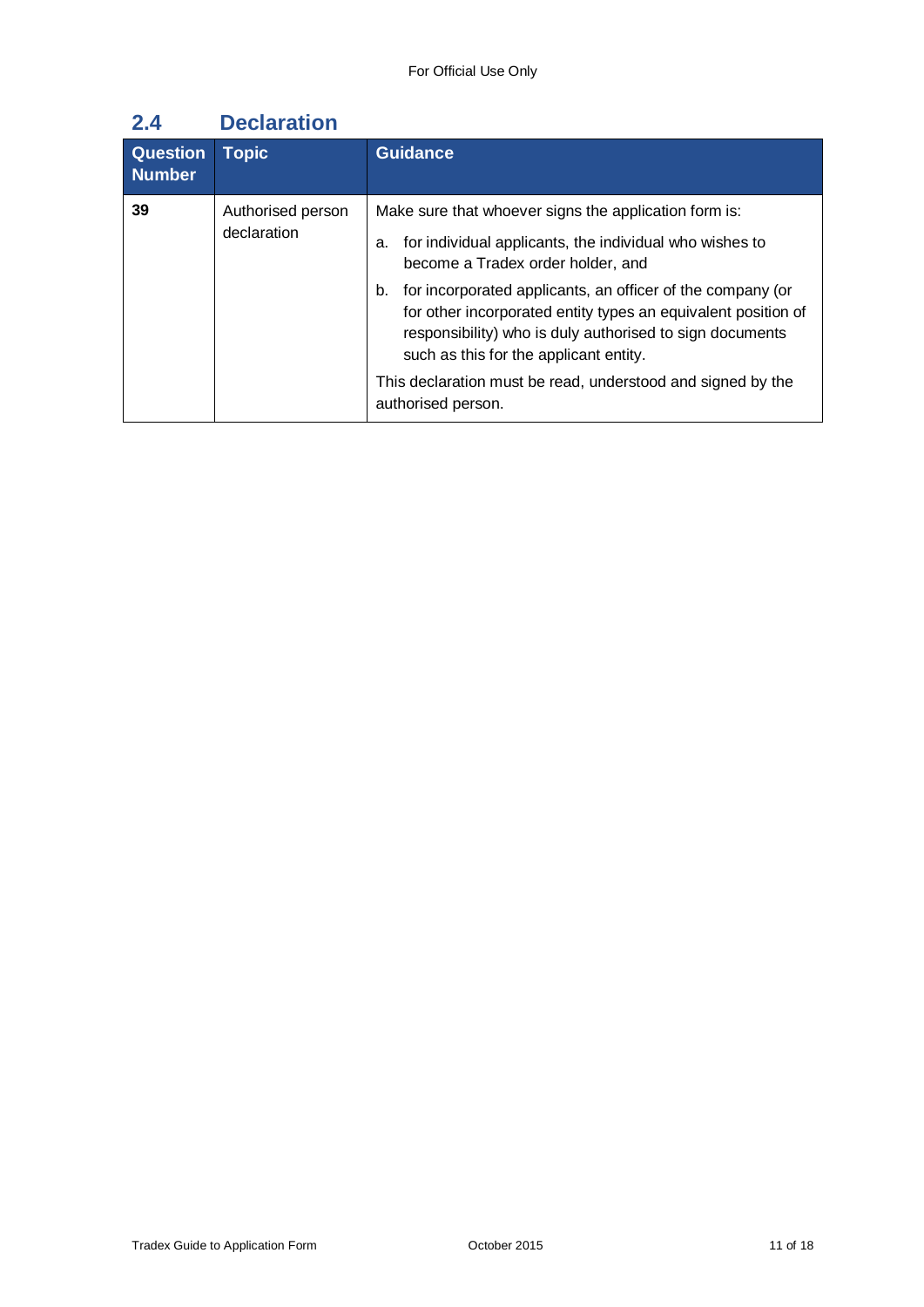| <b>Question</b><br><b>Number</b> | <b>Topic</b>                     | <b>Guidance</b>                                                                                                                                                                                                                                                                                                                                                                                                                                                                             |
|----------------------------------|----------------------------------|---------------------------------------------------------------------------------------------------------------------------------------------------------------------------------------------------------------------------------------------------------------------------------------------------------------------------------------------------------------------------------------------------------------------------------------------------------------------------------------------|
| 39                               | Authorised person<br>declaration | Make sure that whoever signs the application form is:<br>for individual applicants, the individual who wishes to<br>а.<br>become a Tradex order holder, and<br>for incorporated applicants, an officer of the company (or<br>b.<br>for other incorporated entity types an equivalent position of<br>responsibility) who is duly authorised to sign documents<br>such as this for the applicant entity.<br>This declaration must be read, understood and signed by the<br>authorised person. |

## **2.4 Declaration**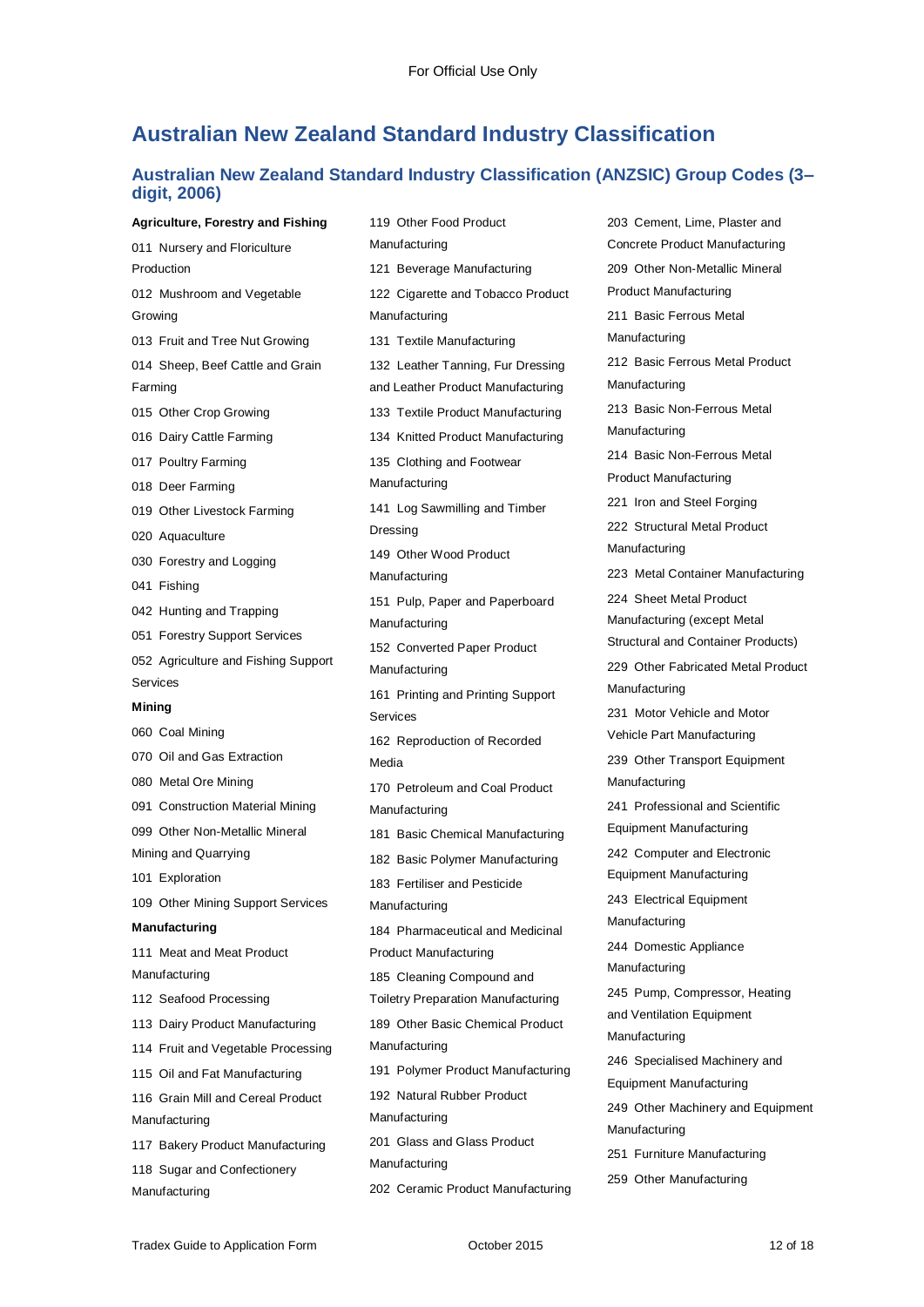### **Australian New Zealand Standard Industry Classification**

119 Other Food Product

#### **Australian New Zealand Standard Industry Classification (ANZSIC) Group Codes (3– digit, 2006)**

**Agriculture, Forestry and Fishing** 011 Nursery and Floriculture Production 012 Mushroom and Vegetable Growing 013 Fruit and Tree Nut Growing 014 Sheep, Beef Cattle and Grain Farming 015 Other Crop Growing 016 Dairy Cattle Farming 017 Poultry Farming 018 Deer Farming 019 Other Livestock Farming 020 Aquaculture 030 Forestry and Logging 041 Fishing 042 Hunting and Trapping 051 Forestry Support Services 052 Agriculture and Fishing Support Services **Mining** 060 Coal Mining 070 Oil and Gas Extraction 080 Metal Ore Mining 091 Construction Material Mining 099 Other Non-Metallic Mineral Mining and Quarrying 101 Exploration 109 Other Mining Support Services **Manufacturing** 111 Meat and Meat Product Manufacturing 112 Seafood Processing 113 Dairy Product Manufacturing 114 Fruit and Vegetable Processing 115 Oil and Fat Manufacturing 116 Grain Mill and Cereal Product Manufacturing 117 Bakery Product Manufacturing 118 Sugar and Confectionery Manufacturing

Manufacturing 121 Beverage Manufacturing 122 Cigarette and Tobacco Product Manufacturing 131 Textile Manufacturing 132 Leather Tanning, Fur Dressing and Leather Product Manufacturing 133 Textile Product Manufacturing 134 Knitted Product Manufacturing 135 Clothing and Footwear Manufacturing 141 Log Sawmilling and Timber Dressing 149 Other Wood Product Manufacturing 151 Pulp, Paper and Paperboard Manufacturing 152 Converted Paper Product Manufacturing 161 Printing and Printing Support Services 162 Reproduction of Recorded Media 170 Petroleum and Coal Product Manufacturing 181 Basic Chemical Manufacturing 182 Basic Polymer Manufacturing 183 Fertiliser and Pesticide Manufacturing 184 Pharmaceutical and Medicinal Product Manufacturing 185 Cleaning Compound and Toiletry Preparation Manufacturing 189 Other Basic Chemical Product Manufacturing 191 Polymer Product Manufacturing 192 Natural Rubber Product Manufacturing 201 Glass and Glass Product Manufacturing 202 Ceramic Product Manufacturing 203 Cement, Lime, Plaster and Concrete Product Manufacturing 209 Other Non-Metallic Mineral Product Manufacturing 211 Basic Ferrous Metal Manufacturing 212 Basic Ferrous Metal Product Manufacturing 213 Basic Non-Ferrous Metal Manufacturing 214 Basic Non-Ferrous Metal Product Manufacturing 221 Iron and Steel Forging 222 Structural Metal Product Manufacturing 223 Metal Container Manufacturing 224 Sheet Metal Product Manufacturing (except Metal Structural and Container Products) 229 Other Fabricated Metal Product Manufacturing 231 Motor Vehicle and Motor Vehicle Part Manufacturing 239 Other Transport Equipment Manufacturing 241 Professional and Scientific Equipment Manufacturing 242 Computer and Electronic Equipment Manufacturing 243 Electrical Equipment Manufacturing 244 Domestic Appliance Manufacturing 245 Pump, Compressor, Heating and Ventilation Equipment Manufacturing 246 Specialised Machinery and Equipment Manufacturing 249 Other Machinery and Equipment Manufacturing 251 Furniture Manufacturing 259 Other Manufacturing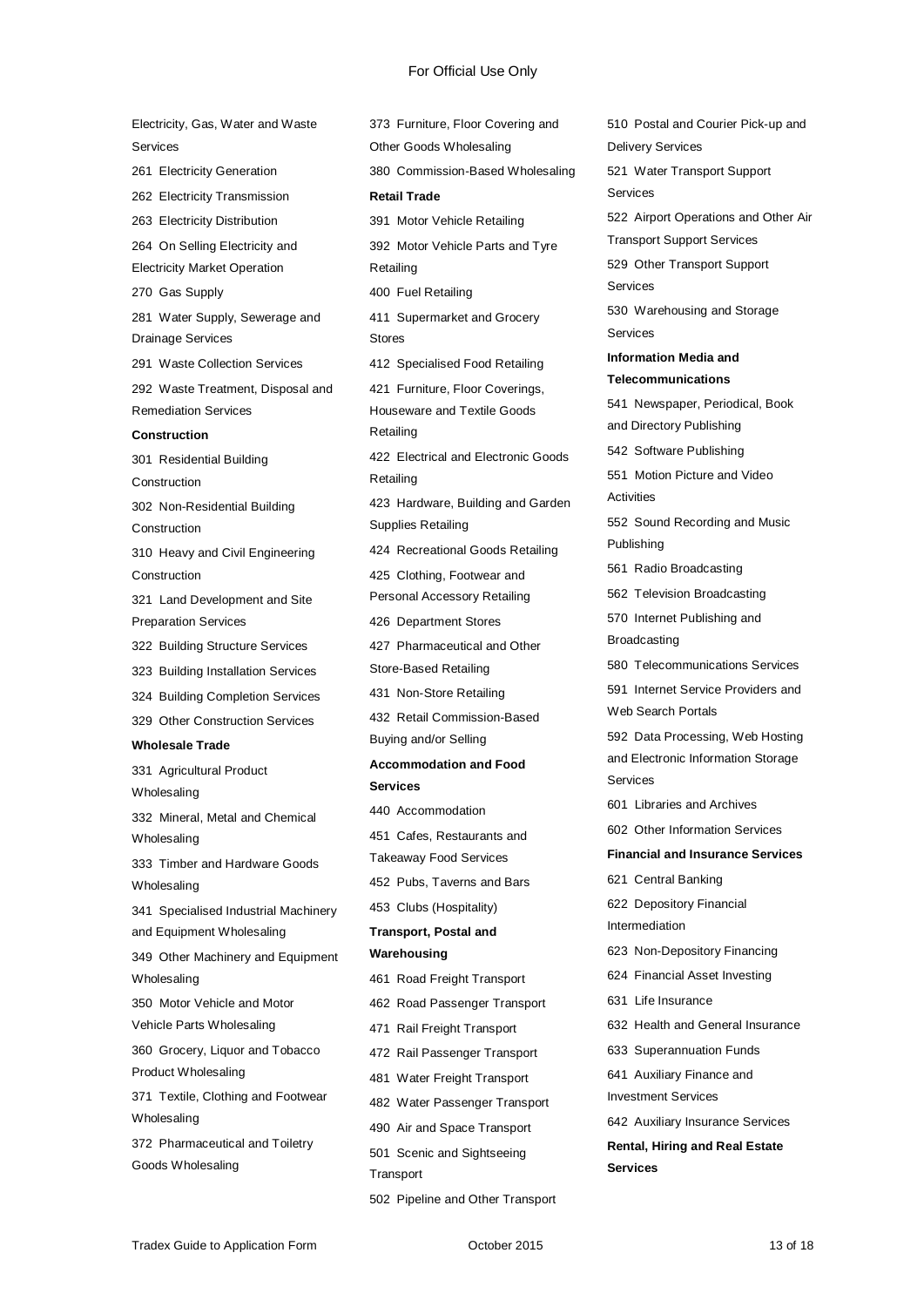Electricity, Gas, Water and Waste Services 261 Electricity Generation 262 Electricity Transmission 263 Electricity Distribution 264 On Selling Electricity and Electricity Market Operation 270 Gas Supply 281 Water Supply, Sewerage and Drainage Services 291 Waste Collection Services 292 Waste Treatment, Disposal and Remediation Services **Construction** 301 Residential Building Construction 302 Non-Residential Building **Construction** 310 Heavy and Civil Engineering **Construction** 321 Land Development and Site Preparation Services 322 Building Structure Services 323 Building Installation Services 324 Building Completion Services 329 Other Construction Services **Wholesale Trade** 331 Agricultural Product **Wholesaling** 332 Mineral, Metal and Chemical **Wholesaling** 333 Timber and Hardware Goods Wholesaling 341 Specialised Industrial Machinery and Equipment Wholesaling 349 Other Machinery and Equipment Wholesaling 350 Motor Vehicle and Motor Vehicle Parts Wholesaling 360 Grocery, Liquor and Tobacco Product Wholesaling 371 Textile, Clothing and Footwear Wholesaling 372 Pharmaceutical and Toiletry Goods Wholesaling

373 Furniture, Floor Covering and Other Goods Wholesaling 380 Commission-Based Wholesaling **Retail Trade** 391 Motor Vehicle Retailing 392 Motor Vehicle Parts and Tyre Retailing 400 Fuel Retailing 411 Supermarket and Grocery Stores 412 Specialised Food Retailing 421 Furniture, Floor Coverings, Houseware and Textile Goods Retailing 422 Electrical and Electronic Goods Retailing 423 Hardware, Building and Garden Supplies Retailing 424 Recreational Goods Retailing 425 Clothing, Footwear and Personal Accessory Retailing 426 Department Stores 427 Pharmaceutical and Other Store-Based Retailing 431 Non-Store Retailing 432 Retail Commission-Based Buying and/or Selling **Accommodation and Food Services** 440 Accommodation 451 Cafes, Restaurants and Takeaway Food Services 452 Pubs, Taverns and Bars 453 Clubs (Hospitality) **Transport, Postal and Warehousing** 461 Road Freight Transport 462 Road Passenger Transport 471 Rail Freight Transport 472 Rail Passenger Transport 481 Water Freight Transport 482 Water Passenger Transport 490 Air and Space Transport 501 Scenic and Sightseeing **Transport** 

510 Postal and Courier Pick-up and Delivery Services 521 Water Transport Support Services 522 Airport Operations and Other Air Transport Support Services 529 Other Transport Support Services 530 Warehousing and Storage Services **Information Media and Telecommunications** 541 Newspaper, Periodical, Book and Directory Publishing 542 Software Publishing 551 Motion Picture and Video **Activities** 552 Sound Recording and Music Publishing 561 Radio Broadcasting 562 Television Broadcasting 570 Internet Publishing and Broadcasting 580 Telecommunications Services 591 Internet Service Providers and Web Search Portals 592 Data Processing, Web Hosting and Electronic Information Storage Services 601 Libraries and Archives 602 Other Information Services **Financial and Insurance Services** 621 Central Banking 622 Depository Financial Intermediation 623 Non-Depository Financing 624 Financial Asset Investing 631 Life Insurance 632 Health and General Insurance 633 Superannuation Funds 641 Auxiliary Finance and Investment Services 642 Auxiliary Insurance Services **Rental, Hiring and Real Estate Services**

502 Pipeline and Other Transport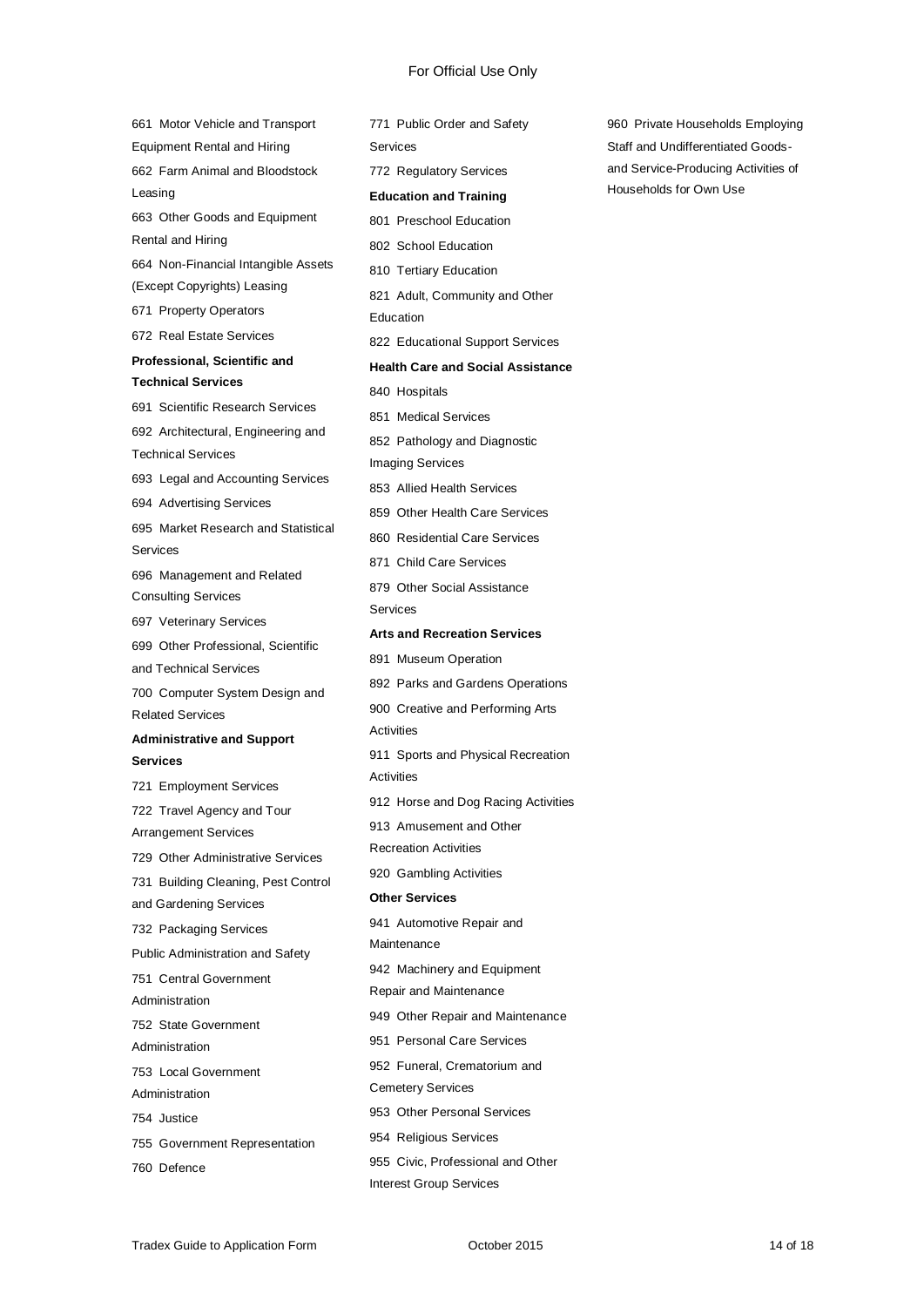661 Motor Vehicle and Transport Equipment Rental and Hiring 662 Farm Animal and Bloodstock Leasing 663 Other Goods and Equipment Rental and Hiring 664 Non-Financial Intangible Assets (Except Copyrights) Leasing 671 Property Operators 672 Real Estate Services **Professional, Scientific and Technical Services** 691 Scientific Research Services 692 Architectural, Engineering and Technical Services 693 Legal and Accounting Services 694 Advertising Services 695 Market Research and Statistical Services 696 Management and Related Consulting Services 697 Veterinary Services 699 Other Professional, Scientific and Technical Services 700 Computer System Design and Related Services **Administrative and Support Services** 721 Employment Services 722 Travel Agency and Tour Arrangement Services 729 Other Administrative Services 731 Building Cleaning, Pest Control and Gardening Services 732 Packaging Services Public Administration and Safety 751 Central Government Administration 752 State Government Administration 753 Local Government Administration 754 Justice 755 Government Representation 760 Defence

771 Public Order and Safety Services 772 Regulatory Services **Education and Training** 801 Preschool Education 802 School Education 810 Tertiary Education 821 Adult, Community and Other Education 822 Educational Support Services **Health Care and Social Assistance** 840 Hospitals 851 Medical Services 852 Pathology and Diagnostic Imaging Services 853 Allied Health Services 859 Other Health Care Services 860 Residential Care Services 871 Child Care Services 879 Other Social Assistance Services **Arts and Recreation Services** 891 Museum Operation 892 Parks and Gardens Operations 900 Creative and Performing Arts **Activities** 911 Sports and Physical Recreation Activities 912 Horse and Dog Racing Activities 913 Amusement and Other Recreation Activities 920 Gambling Activities **Other Services** 941 Automotive Repair and Maintenance 942 Machinery and Equipment Repair and Maintenance 949 Other Repair and Maintenance 951 Personal Care Services 952 Funeral, Crematorium and Cemetery Services 953 Other Personal Services 954 Religious Services 955 Civic, Professional and Other Interest Group Services

960 Private Households Employing Staff and Undifferentiated Goodsand Service-Producing Activities of Households for Own Use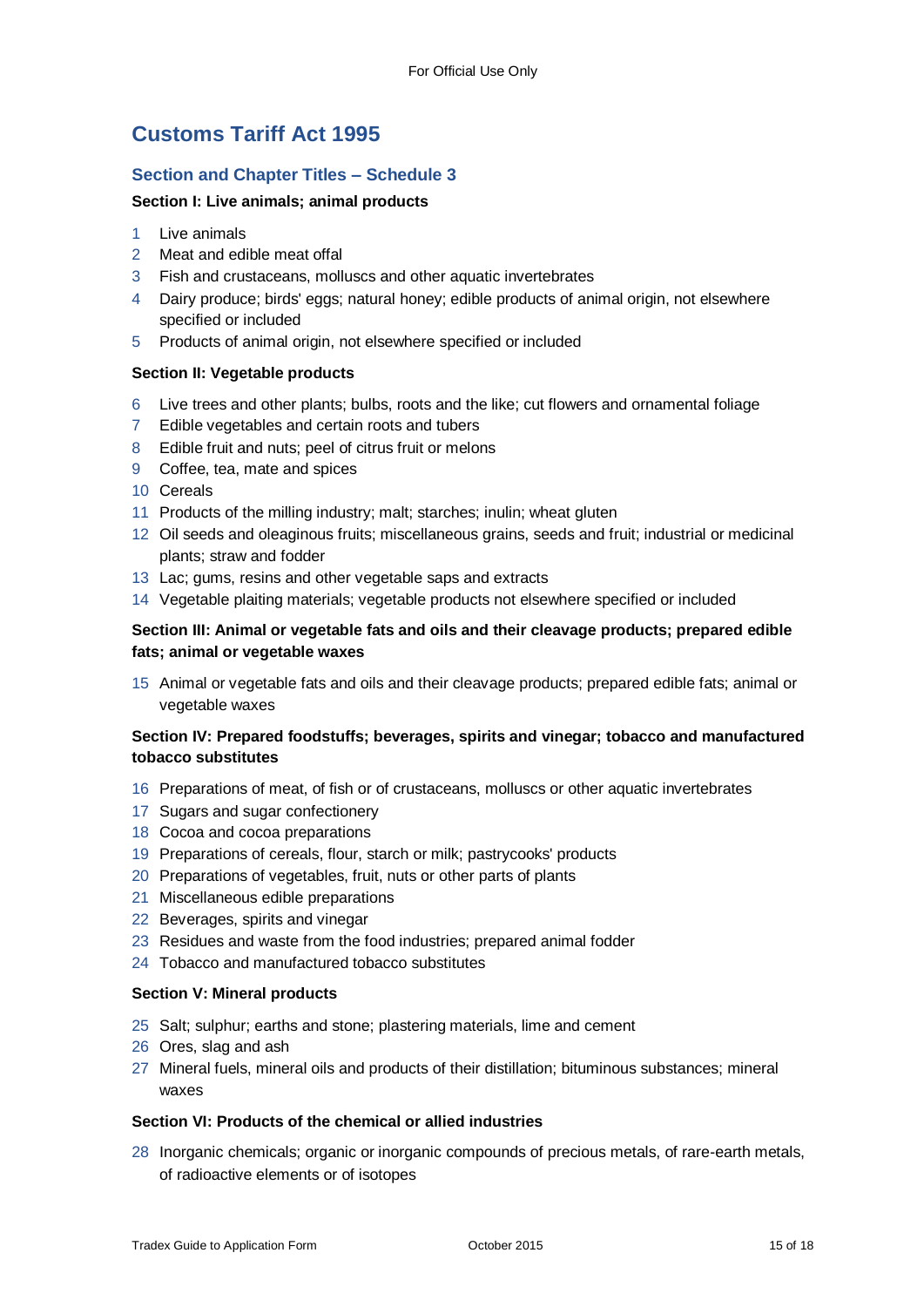## **Customs Tariff Act 1995**

#### **Section and Chapter Titles – Schedule 3**

#### **Section I: Live animals; animal products**

- 1 Live animals
- 2 Meat and edible meat offal
- 3 Fish and crustaceans, molluscs and other aquatic invertebrates
- 4 Dairy produce; birds' eggs; natural honey; edible products of animal origin, not elsewhere specified or included
- 5 Products of animal origin, not elsewhere specified or included

#### **Section II: Vegetable products**

- 6 Live trees and other plants; bulbs, roots and the like; cut flowers and ornamental foliage
- 7 Edible vegetables and certain roots and tubers
- 8 Edible fruit and nuts; peel of citrus fruit or melons
- 9 Coffee, tea, mate and spices
- 10 Cereals
- 11 Products of the milling industry; malt; starches; inulin; wheat gluten
- 12 Oil seeds and oleaginous fruits; miscellaneous grains, seeds and fruit; industrial or medicinal plants; straw and fodder
- 13 Lac; gums, resins and other vegetable saps and extracts
- 14 Vegetable plaiting materials; vegetable products not elsewhere specified or included

#### **Section III: Animal or vegetable fats and oils and their cleavage products; prepared edible fats; animal or vegetable waxes**

15 Animal or vegetable fats and oils and their cleavage products; prepared edible fats; animal or vegetable waxes

#### **Section IV: Prepared foodstuffs; beverages, spirits and vinegar; tobacco and manufactured tobacco substitutes**

- 16 Preparations of meat, of fish or of crustaceans, molluscs or other aquatic invertebrates
- 17 Sugars and sugar confectionery
- 18 Cocoa and cocoa preparations
- 19 Preparations of cereals, flour, starch or milk; pastrycooks' products
- 20 Preparations of vegetables, fruit, nuts or other parts of plants
- 21 Miscellaneous edible preparations
- 22 Beverages, spirits and vinegar
- 23 Residues and waste from the food industries; prepared animal fodder
- 24 Tobacco and manufactured tobacco substitutes

#### **Section V: Mineral products**

- 25 Salt; sulphur; earths and stone; plastering materials, lime and cement
- 26 Ores, slag and ash
- 27 Mineral fuels, mineral oils and products of their distillation; bituminous substances; mineral waxes

#### **Section VI: Products of the chemical or allied industries**

28 Inorganic chemicals; organic or inorganic compounds of precious metals, of rare-earth metals, of radioactive elements or of isotopes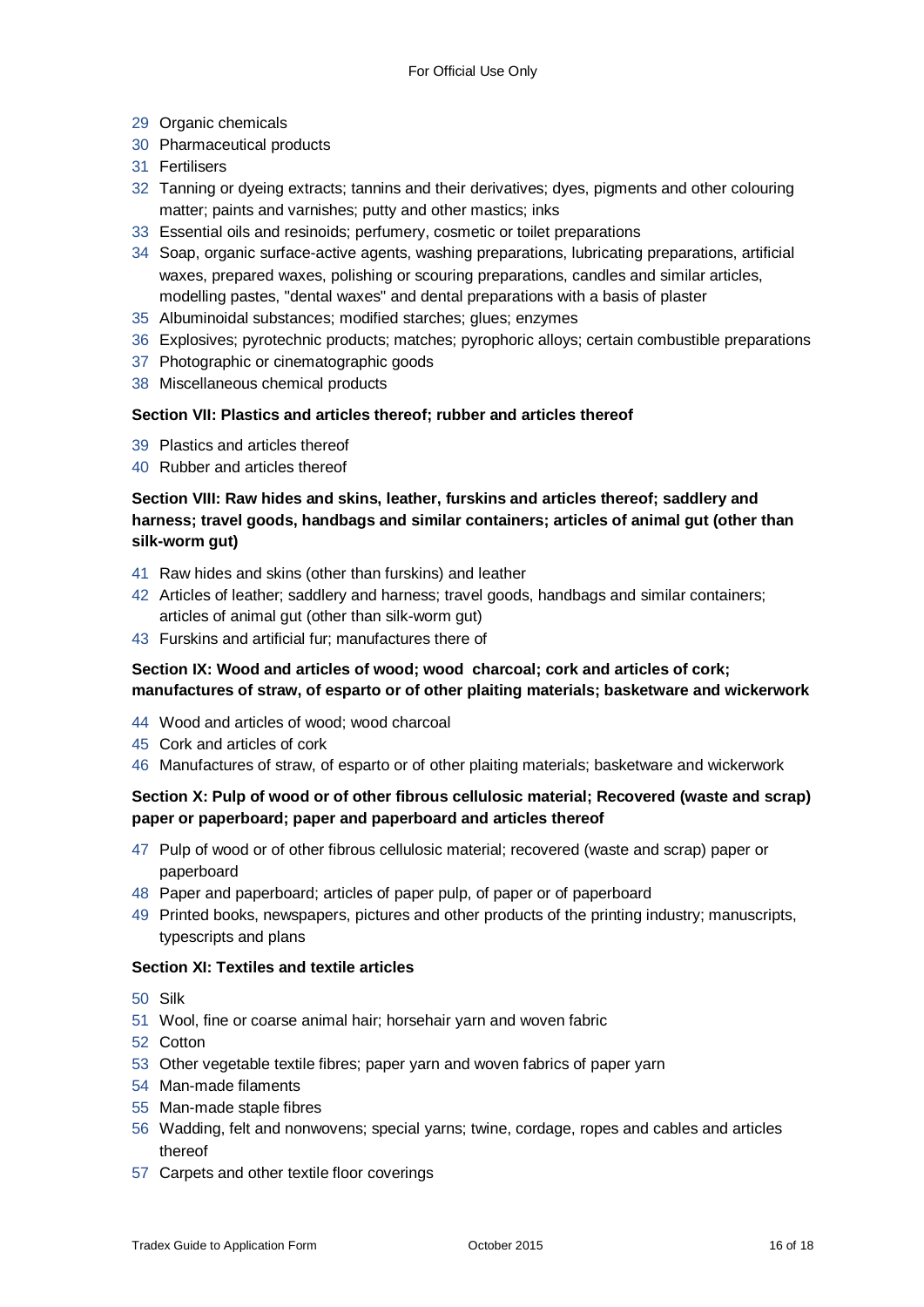- Organic chemicals
- Pharmaceutical products
- Fertilisers
- Tanning or dyeing extracts; tannins and their derivatives; dyes, pigments and other colouring matter; paints and varnishes; putty and other mastics; inks
- Essential oils and resinoids; perfumery, cosmetic or toilet preparations
- Soap, organic surface-active agents, washing preparations, lubricating preparations, artificial waxes, prepared waxes, polishing or scouring preparations, candles and similar articles, modelling pastes, "dental waxes" and dental preparations with a basis of plaster
- Albuminoidal substances; modified starches; glues; enzymes
- Explosives; pyrotechnic products; matches; pyrophoric alloys; certain combustible preparations
- Photographic or cinematographic goods
- Miscellaneous chemical products

#### **Section VII: Plastics and articles thereof; rubber and articles thereof**

- Plastics and articles thereof
- Rubber and articles thereof

#### **Section VIII: Raw hides and skins, leather, furskins and articles thereof; saddlery and harness; travel goods, handbags and similar containers; articles of animal gut (other than silk-worm gut)**

- Raw hides and skins (other than furskins) and leather
- Articles of leather; saddlery and harness; travel goods, handbags and similar containers; articles of animal gut (other than silk-worm gut)
- Furskins and artificial fur; manufactures there of

#### **Section IX: Wood and articles of wood; wood charcoal; cork and articles of cork; manufactures of straw, of esparto or of other plaiting materials; basketware and wickerwork**

- Wood and articles of wood; wood charcoal
- Cork and articles of cork
- Manufactures of straw, of esparto or of other plaiting materials; basketware and wickerwork

#### **Section X: Pulp of wood or of other fibrous cellulosic material; Recovered (waste and scrap) paper or paperboard; paper and paperboard and articles thereof**

- Pulp of wood or of other fibrous cellulosic material; recovered (waste and scrap) paper or paperboard
- Paper and paperboard; articles of paper pulp, of paper or of paperboard
- Printed books, newspapers, pictures and other products of the printing industry; manuscripts, typescripts and plans

#### **Section XI: Textiles and textile articles**

- Silk
- Wool, fine or coarse animal hair; horsehair yarn and woven fabric
- Cotton
- Other vegetable textile fibres; paper yarn and woven fabrics of paper yarn
- Man-made filaments
- Man-made staple fibres
- Wadding, felt and nonwovens; special yarns; twine, cordage, ropes and cables and articles thereof
- Carpets and other textile floor coverings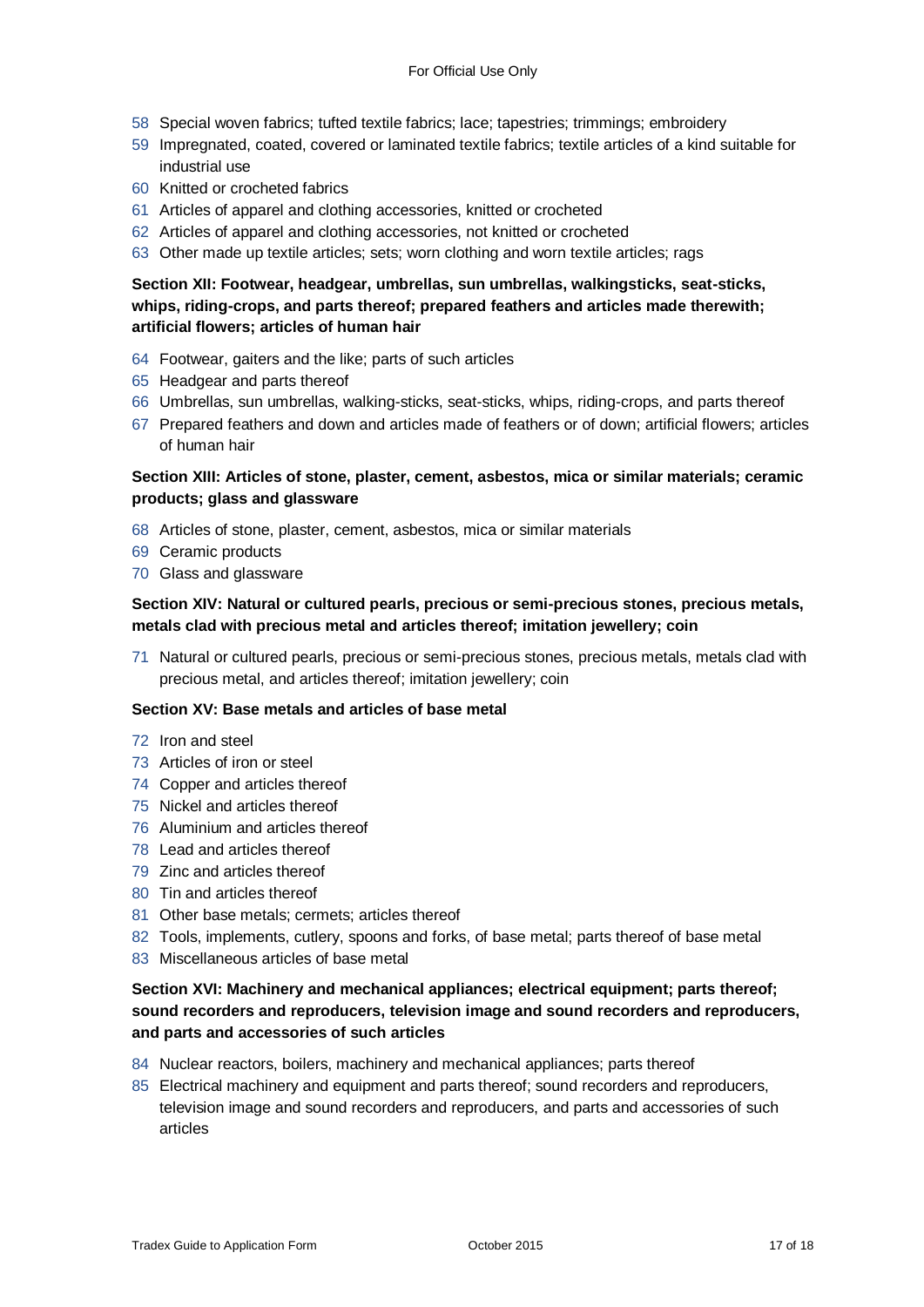- 58 Special woven fabrics; tufted textile fabrics; lace; tapestries; trimmings; embroidery
- 59 Impregnated, coated, covered or laminated textile fabrics; textile articles of a kind suitable for industrial use
- 60 Knitted or crocheted fabrics
- 61 Articles of apparel and clothing accessories, knitted or crocheted
- 62 Articles of apparel and clothing accessories, not knitted or crocheted
- 63 Other made up textile articles; sets; worn clothing and worn textile articles; rags

#### **Section XII: Footwear, headgear, umbrellas, sun umbrellas, walkingsticks, seat-sticks, whips, riding-crops, and parts thereof; prepared feathers and articles made therewith; artificial flowers; articles of human hair**

- 64 Footwear, gaiters and the like; parts of such articles
- 65 Headgear and parts thereof
- 66 Umbrellas, sun umbrellas, walking-sticks, seat-sticks, whips, riding-crops, and parts thereof
- 67 Prepared feathers and down and articles made of feathers or of down; artificial flowers; articles of human hair

#### **Section XIII: Articles of stone, plaster, cement, asbestos, mica or similar materials; ceramic products; glass and glassware**

- 68 Articles of stone, plaster, cement, asbestos, mica or similar materials
- 69 Ceramic products
- 70 Glass and glassware

#### **Section XIV: Natural or cultured pearls, precious or semi-precious stones, precious metals, metals clad with precious metal and articles thereof; imitation jewellery; coin**

71 Natural or cultured pearls, precious or semi-precious stones, precious metals, metals clad with precious metal, and articles thereof; imitation jewellery; coin

#### **Section XV: Base metals and articles of base metal**

- 72 Iron and steel
- 73 Articles of iron or steel
- 74 Copper and articles thereof
- 75 Nickel and articles thereof
- 76 Aluminium and articles thereof
- 78 Lead and articles thereof
- 79 Zinc and articles thereof
- 80 Tin and articles thereof
- 81 Other base metals; cermets; articles thereof
- 82 Tools, implements, cutlery, spoons and forks, of base metal; parts thereof of base metal
- 83 Miscellaneous articles of base metal

#### **Section XVI: Machinery and mechanical appliances; electrical equipment; parts thereof; sound recorders and reproducers, television image and sound recorders and reproducers, and parts and accessories of such articles**

- 84 Nuclear reactors, boilers, machinery and mechanical appliances; parts thereof
- 85 Electrical machinery and equipment and parts thereof; sound recorders and reproducers, television image and sound recorders and reproducers, and parts and accessories of such articles